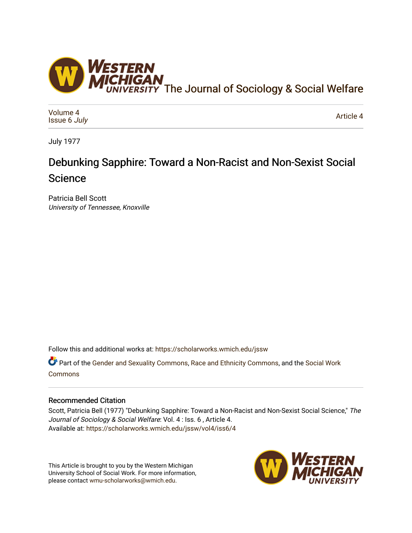

[Volume 4](https://scholarworks.wmich.edu/jssw/vol4) [Issue 6](https://scholarworks.wmich.edu/jssw/vol4/iss6) July

[Article 4](https://scholarworks.wmich.edu/jssw/vol4/iss6/4) 

July 1977

# Debunking Sapphire: Toward a Non-Racist and Non-Sexist Social Science

Patricia Bell Scott University of Tennessee, Knoxville

Follow this and additional works at: [https://scholarworks.wmich.edu/jssw](https://scholarworks.wmich.edu/jssw?utm_source=scholarworks.wmich.edu%2Fjssw%2Fvol4%2Fiss6%2F4&utm_medium=PDF&utm_campaign=PDFCoverPages) 

Part of the [Gender and Sexuality Commons](http://network.bepress.com/hgg/discipline/420?utm_source=scholarworks.wmich.edu%2Fjssw%2Fvol4%2Fiss6%2F4&utm_medium=PDF&utm_campaign=PDFCoverPages), [Race and Ethnicity Commons](http://network.bepress.com/hgg/discipline/426?utm_source=scholarworks.wmich.edu%2Fjssw%2Fvol4%2Fiss6%2F4&utm_medium=PDF&utm_campaign=PDFCoverPages), and the [Social Work](http://network.bepress.com/hgg/discipline/713?utm_source=scholarworks.wmich.edu%2Fjssw%2Fvol4%2Fiss6%2F4&utm_medium=PDF&utm_campaign=PDFCoverPages)  [Commons](http://network.bepress.com/hgg/discipline/713?utm_source=scholarworks.wmich.edu%2Fjssw%2Fvol4%2Fiss6%2F4&utm_medium=PDF&utm_campaign=PDFCoverPages)

# Recommended Citation

Scott, Patricia Bell (1977) "Debunking Sapphire: Toward a Non-Racist and Non-Sexist Social Science," The Journal of Sociology & Social Welfare: Vol. 4 : Iss. 6, Article 4. Available at: [https://scholarworks.wmich.edu/jssw/vol4/iss6/4](https://scholarworks.wmich.edu/jssw/vol4/iss6/4?utm_source=scholarworks.wmich.edu%2Fjssw%2Fvol4%2Fiss6%2F4&utm_medium=PDF&utm_campaign=PDFCoverPages) 

This Article is brought to you by the Western Michigan University School of Social Work. For more information, please contact [wmu-scholarworks@wmich.edu.](mailto:wmu-scholarworks@wmich.edu)

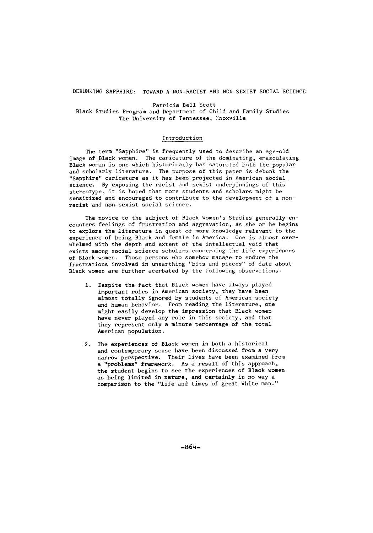DEBUNKING SAPPHIRE: TOWARD A NON-RACIST AND NON-SEXIST SOCIAL SCIENCE

Patricia Bell Scott Black Studies Program and Department of Child and Family Studies The University of Tennessee, *Ynoxville* 

### Introduction

The term "Sapphire" is frequently used to describe an age-old image of Black women. The caricature of the dominating, emasculating Black woman is one which historically has saturated both the popular and scholarly literature. The purpose of this paper is debunk the "Sapphire" caricature as it has been projected in American social science. By exposing the racist and sexist underpinnings of this stereotype, it is hoped that more students and scholars might be sensitized and encouraged to contribute to the development of a nonracist and non-sexist social science.

The novice to the subject of Black Women's Studies generally encounters feelings of frustration and aggravation, as she or he begins to explore the literature in quest of more knowledge relevant to the experience of being Black and female in America. One is almost overwhelmed with the depth and extent of the intellectual void that exists among social science scholars concerning the life experiences of Black women. Those persons who somehow manage to endure the frustrations involved in unearthing "bits and pieces" of data about Black women are further acerbated by the following observations:

- **1.** Despite the fact that Black women have always played important roles in American society, they have been almost totally ignored by students of American society and human behavior. From reading the literature, one might easily develop the impression that Black women have never played any role in this society, and that they represent only a minute percentage of the total American population.
- 2. The experiences of Black women in both a historical and contemporary sense have been discussed from a very narrow perspective. Their lives have been examined from a "problems" framework. As a result of this approach, the student begins to see the experiences of Black women as being limited in nature, and certainly in no way a comparison to the "life and times of great White man."

 $-864-$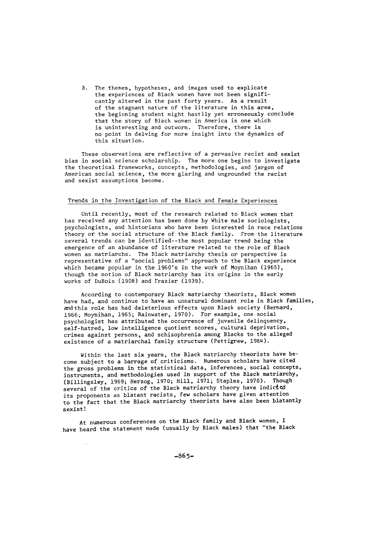3. The themes, hypotheses, and images used to explicate the experiences of Black women have not been significantly altered in the past forty years. As a result of the stagnant nature of the literature in this area, the beginning student might hastily yet erroneously conclude that the story of Black women in America is one which is uninteresting and outworn. Therefore, there is no point in delving for more insight into the dynamics of this situation.

These observations are reflective of a pervasive racist and sexist bias in social science scholarship. The more one begins to investigate the theoretical frameworks, concepts, methodologies, and jargon of American social science, the more glaring and ungrounded the racist and sexist assumptions become.

#### Trends in the Investigation of the Black and Female Experiences

Until recently, most of the research related to Black women that has received any attention has been done by White male sociologists, psychologists, and historians who have been interested in race relations theory or the social structure of the Black family. From the literature several trends can be identified--the most popular trend being the emergence of an abundance of literature related to the role of Black women as matriarchs. The Black matriarchy thesis or perspective is representative of a "social problems" approach to the Black experience which became popular in the 1960's in the work of Moynihan (1965), though the notion of Black matriarchy has its origins in the early works of DuBois (1908) and Frazier (1939).

According to contemporary Black matriarchy theorists, Black women have had, and continue to have an unnatural dominant role in Black families, and this role has had deleterious effects upon Black society (Bernard, 1966; Moynihan, 1965; Rainwater, 1970). For example, one social psychologist has attributed the occurrence of juvenile delinquency, self-hatred, low intelligence quotient scores, cultural deprivation, crimes against persons, and schizophrenia among Blacks to the alleged existence of a matriarchal family structure (Pettigrew, 1964).

Within the last six years, the Black matriarchy theorists have become subject to a barrage of criticisms. Numerous scholars have cited the gross problems in the statistical data, inferences, social concepts, instruments, and methodologies used in support of the Black matriarchy, (Billingsley, 1969; Herzog, 1970; Hill, 1971; Staples, 1970). Though several of the critics of the Black matriarchy theory have indicted its proponents as blatant racists, few scholars have given attention to the fact that the Black matriarchy theorists have also been blatantly sexist!

At numerous conferences on the Black family and Black women, I have heard the statement made (usually by Black males) that "the Black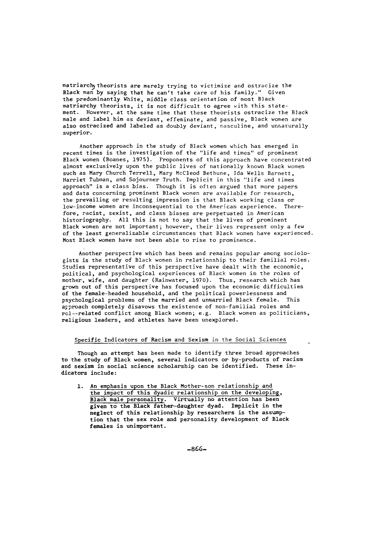matriarchy theorists are merely trying to victimize and ostracize the Black man by saying that he can't take care of his family." Given the predominantly White, middle class orientation of most Black matriarchy theorists, it is not difficult to agree with this statement. However, at the same time that these theorists ostracize the Black male and label him as deviant, effeminate, and passive, Black women are also ostracized and labeled as doubly deviant, masculine, and unnaturally superior.

Another approach in the study of Black women which has emerged in recent times is the investigation of the "life and times" of prominent Black women (Boanes, 1975). Proponents of this approach have concentrated almost exclusively upon the public lives of nationally known Black women such as Mary Church Terrell, Mary McCleod Bethune, Ida Wells Barnett, Harriet Tubman, and Sojourner Truth. Implicit in this "life and times approach" is a class bias. Though it is often argued that more papers and data concerning prominent Black women are available for research, the prevailing or resulting impression is that Black working class or low-income women are inconsequential to the American experience. Therefore, racist, sexist, and class biases are perpetuated in American historiography. All this is not to say that the lives of prominent Black women are not important; however, their lives represent only a few of the least generalizable circumstances that Black women have experienced. Most Black women have not been able to rise to prominence.

Another perspective which has been and remains popular among sociologists is the study of Black women in relationship to their familial roles. Studies representative of this perspective have dealt with the economic, political, and psychological experiences of Black women in the roles of mother, wife, and daughter (Rainwater, 1970). Thus, research which has grown out of this perspective has focused upon the economic difficulties of the female-headed household, and the political powerlessness and psychological problems of the married and unmarried Black female. This approach completely disavows the existence of non-familial roles and rol-related conflict among Black women; e.g. Black women as politicians, religious leaders, and athletes have been unexplored.

#### Specific Indicators of Racism and Sexism in the Social Sciences

Though an attempt has been made to identify three broad approaches to the study of Black women, several indicators or by-products of racism and sexism in social science scholarship can be identified. These indicators include:

**1.** An emphasis upon the Black Mother-son relationship and the impact of this dyadic relationship on the developing, Black male personality. Virtually no attention has been given to the Black father-daughter dyad. Implicit in the neglect of this relationship **by** researchers is the assumption that the sex role and personality development of Black females is unimportant.

-866-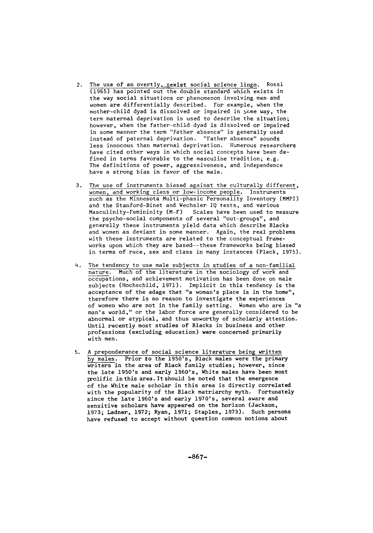- 2. The use of an overtly, sexist social science lingo. Rossi (1965) has pointed out the double standard which exists in the way social situations or phenomenon involving men and women are differentially described. For example, when the mother-child dyad is dissolved or impaired in scme way, the term maternal deprivation is used to describe the situation; however, when the father-child dyad is dissolved or impaired in some manner the term "father absence" is generally used instead of paternal deprivation. "Father absence" sounds less innocous than maternal deprivation. Numerous researchers have cited other ways in which social concepts have been defined in terms favorable to the masculine tradition; e.g. The definitions of power, aggressiveness, and independence have a strong bias in favor of the male.
- 3. The use of instruments biased against the culturally different, women, and working class or low-income people. Instruments such as the Minnesota Multi-phasic Personality Inventory (MMPI) and the Stanford-Binet and Wechsler IQ tests, and various Masculinity-Femininity (M-F) Scales have been used to measure the psycho-social components of several "out-groups", and generally these instruments yield data which describe Blacks and women as deviant in some manner. Again, the real problems with these instruments are related to the conceptual frameworks upon which they are based--these frameworks being biased in terms of race, sex and class in many instances (Pleck, 1975).
- 4. The tendency to use male subjects in studies of a non-familial nature. Much of the literature in the sociology of work and occupations, and achievement motivation has been done on male subjects (Hochschild, 1971). Implicit in this tendency is the acceptance of the adage that "a woman's place is in the home", therefore there is no reason to investigate the experiences of women who are not in the family setting. Women who are in "a man's world," or the labor force are generally considered to be abnormal or atypical, and thus unworthy of scholarly attention. Until recently most studies of Blacks in business and other professions (excluding education) were concerned primarily with men.
- 5. A preponderance of social science literature being written by males. Prior to the 1950's, Black males were the primary writers in the area of Black family studies; however, since the late 1950's and early 1960's, White males have been most prolific in this area. It should be noted that the emergence of the White male scholar in this area is directly correlated with the popularity of the Black matriarchy myth. Fortunately since the late 1960's and early 1970's, several aware and sensitive scholars have appeared on the horizon (Jackson, 1973; Ladner, 1972; Ryan, 1971; Staples, 1973). Such persons have refused to accept without question common notions about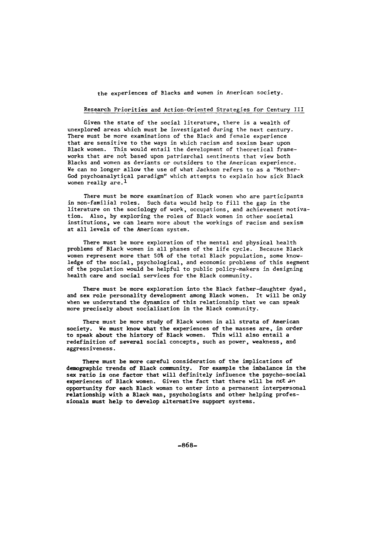the experiences of Blacks and women in American society.

## Research Priorities and Action-Oriented Strategies for Century III

Given the state of the social literature, there is a wealth of unexplored areas which must be investigated during the next century. There must be more examinations of the Black and female experience that are sensitive to the ways in which racism and sexism bear upon Black women. This would entail the development of theoretical frameworks that are not based upon patriarchal sentiments that view both Blacks and women as deviants or outsiders to the American experience. We can no longer allow the use of what Jackson refers to as a "Mother-God psychoanalytical paradigm" which attempts to explain how sick Black women really are.<sup>1</sup>

There must be more examination of Black women who are participants in non-familial roles. Such data would help to fill the gap in the literature on the sociology of work, occupations, and achievement motivation. Also, by exploring the roles of Black women in other societal institutions, we can learn more about the workings of racism and sexism at all levels of the American system.

There must be more exploration of the mental and physical health problems of Black women in all phases of the life cycle. Because Black women represent more that 50% of the total Black population, some knowledge of the social, psychological, and economic problems of this segment of the population would be helpful to public policy-makers in designing health care and social services for the Black community.

There must be more exploration into the Black father-daughter dyad, and sex role personality development among Black women. It will be only when we understand the dynamics of this relationship that we can speak more precisely about socialization in the Black community.

There must be more study of Black women in all strata of American society. We must know what the experiences of the masses are, in order to speak about the history of Black women. This will also entail a redefinition of several social concepts, such as power, weakness, and aggressiveness.

There must be more careful consideration of the implications of demographic trends of Black community. For example the imbalance in the sex ratio is one factor that will definitely influence the psycho-social experiences of Black women. Given the fact that there will be nct an opportunity for each Black woman to enter into a permanent interpersonal relationship with a Black man, psychologists and other helping professionals must help to develop alternative support systems.

**-868-**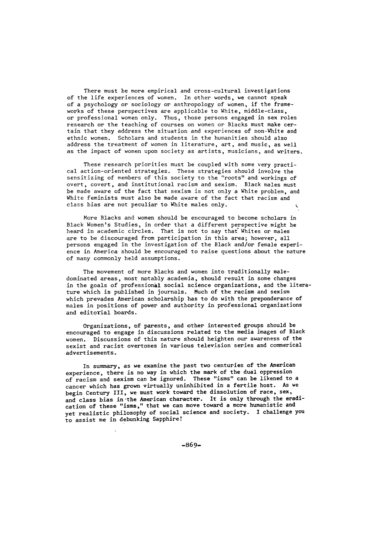There must be more empirical and cross-cultural investigations of the life experiences of women. In other words, we cannot speak of a psychology or sociology or anthropology of women, if the frameworks of these perspectives are applicable to White, middle-class, or professional women only. Thus, those persons engaged in sex roles research or the teaching of courses on women or Blacks must make certain that they address the situation and experiences of non-White and ethnic women. Scholars and students in the humanities should also address the treatment of women in literature, art, and music, as well as the impact of women upon society as artists, musicians, and writers.

These research priorities must be coupled with some very practical action-oriented strategies. These strategies should involve the sensitizing of members of this society to the "roots" and workings of overt, covert, and institutional racism and sexism. Black males must be made aware of the fact that sexism is not only a White problem, and White feminists must also be made aware of the fact that racism and class bias are not peculiar to White males only.

More Blacks and women should be encouraged to become scholars in Black Women's Studies, in order that a different perspective might be heard in academic circles. That is not to say that Whites or males are to be discouraged from participation in this area; however, all persons engaged in the investigation of the Black and/or female experience in America should be encouraged to raise questions about the nature of many commonly held assumptions.

The movement of more Blacks and women into traditionally maledominated areas, most notably academia, should result in some changes in the goals of professional social science organizations, and the literature which is published in journals. Much of the racism and sexism which prevades American scholarship has to do with the preponderance of males in positions of power and authority in professional organizations and editorial boards.

Organizations, of parents, and other interested groups should be encouraged to engage in discussions related to the media images of Black women. Discussions of this nature should heighten our awareness of the sexist and racist overtones in various television series and commerical advertisements.

In summary, as we examine the past two centuries of the American experience, there is no way in which the mark of the dual oppression of racism and sexism can be ignored. These "isms" can be likened to a cancer which has grown virtually uninhibited in a fertile host. As we begin Century III, we must work toward the dissolution of race, sex, and class bias in the American character. It is only through the eradication of these "isms," that we can move toward a more humanistic and yet realistic philosophy of social science and society. I challenge you to assist me in debunking Sapphire!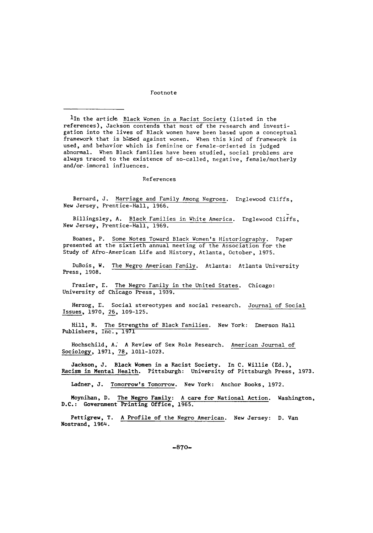Footnote

1In the article Black Women in a Racist Society (listed in the references), Jackson contends that most of the research and investigation into the lives of Black women have been based upon a conceptual framework that is blased against women. When this kind of framework is used, and behavior which is feminine or female-oriented is judged abnormal. When Black families have been studied, social problems are always traced to the existence of so-called, negative, female/motherly and/or immoral influences.

#### References

Bernard, J. Marriage and Family Among Negroes. Englewood Cliffs, New Jersey, Prentice-Hall, 1966.

Billingsley, A. Black Families in White America. Englewood Cliffs, New Jersey, Prentice-Hall, 1969.

Boanes, P. Some Notes Toward Black Women's Historiography. Paper presented at the sixtieth annual meeting of the Association for the Study of Afro-American Life and History, Atlanta, October, 1975.

DuBois, W. The Negro American Family. Atlanta: Atlanta University Press, 1908.

Frazier, E. The Negro Family in the United States. Chicago: University of Chicago Press, 1939.

Herzog, E. Social stereotypes and social research. Journal of Social Issues, 1970, 26, 109-125.

Hill, R. The Strengths of Black Families. New York: Emerson Hall Publishers, Inc., 1971

Hochschild, A.' A Review of Sex Role Research. American Journal of Sociology, 1971, 78, 1011-1023.

Jackson, J. Black Women in a Racist Society. In C. Willie (Ed.), Racism in Mental Health. Pittsburgh: University of Pittsburgh Press, 1973.

Ladner, J. Tomorrow's Tomorrow. New York: Anchor Books, 1972.

Moynihan, D. The Negro Family: A care for National Action. Washington, D.C.: Government Printing Office, 1965.

Pettigrew, T. A Profile of the Negro American. New Jersey: D. Van Nostrand, 1964.

**-870-**